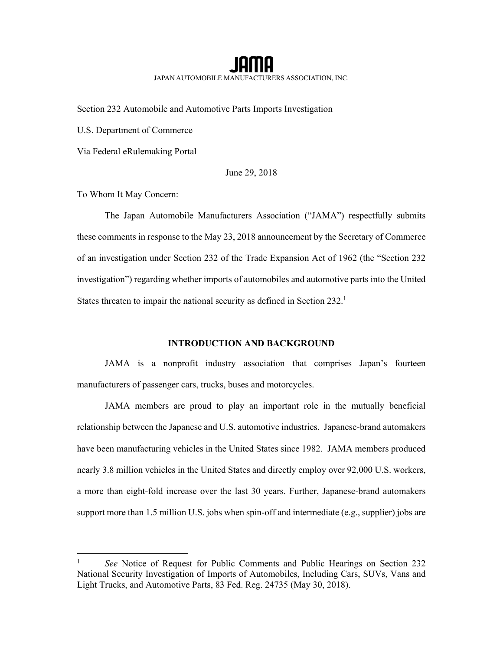JAPAN AUTOMOBILE MANUFACTURERS ASSOCIATION, INC.

Section 232 Automobile and Automotive Parts Imports Investigation

U.S. Department of Commerce

Via Federal eRulemaking Portal

June 29, 2018

To Whom It May Concern:

-

The Japan Automobile Manufacturers Association ("JAMA") respectfully submits these comments in response to the May 23, 2018 announcement by the Secretary of Commerce of an investigation under Section 232 of the Trade Expansion Act of 1962 (the "Section 232 investigation") regarding whether imports of automobiles and automotive parts into the United States threaten to impair the national security as defined in Section 232.<sup>1</sup>

### **INTRODUCTION AND BACKGROUND**

JAMA is a nonprofit industry association that comprises Japan's fourteen manufacturers of passenger cars, trucks, buses and motorcycles.

JAMA members are proud to play an important role in the mutually beneficial relationship between the Japanese and U.S. automotive industries. Japanese-brand automakers have been manufacturing vehicles in the United States since 1982. JAMA members produced nearly 3.8 million vehicles in the United States and directly employ over 92,000 U.S. workers, a more than eight-fold increase over the last 30 years. Further, Japanese-brand automakers support more than 1.5 million U.S. jobs when spin-off and intermediate (e.g., supplier) jobs are

<sup>&</sup>lt;sup>1</sup> *See* Notice of Request for Public Comments and Public Hearings on Section 232 National Security Investigation of Imports of Automobiles, Including Cars, SUVs, Vans and Light Trucks, and Automotive Parts, 83 Fed. Reg. 24735 (May 30, 2018).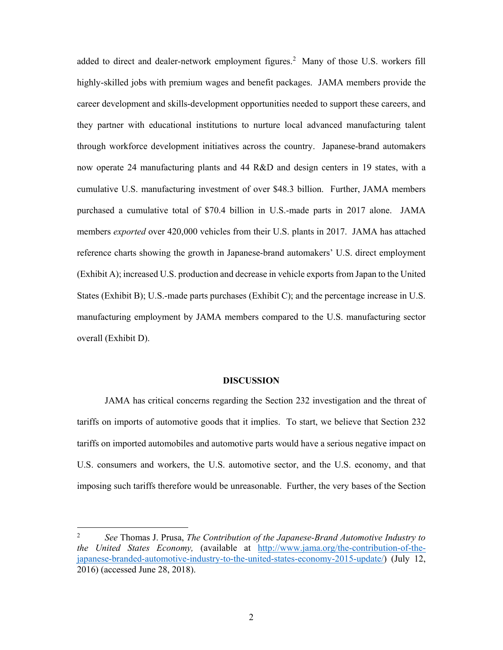added to direct and dealer-network employment figures.<sup>2</sup> Many of those U.S. workers fill highly-skilled jobs with premium wages and benefit packages. JAMA members provide the career development and skills-development opportunities needed to support these careers, and they partner with educational institutions to nurture local advanced manufacturing talent through workforce development initiatives across the country. Japanese-brand automakers now operate 24 manufacturing plants and 44 R&D and design centers in 19 states, with a cumulative U.S. manufacturing investment of over \$48.3 billion. Further, JAMA members purchased a cumulative total of \$70.4 billion in U.S.-made parts in 2017 alone. JAMA members *exported* over 420,000 vehicles from their U.S. plants in 2017. JAMA has attached reference charts showing the growth in Japanese-brand automakers' U.S. direct employment (Exhibit A); increased U.S. production and decrease in vehicle exports from Japan to the United States (Exhibit B); U.S.-made parts purchases (Exhibit C); and the percentage increase in U.S. manufacturing employment by JAMA members compared to the U.S. manufacturing sector overall (Exhibit D).

#### **DISCUSSION**

JAMA has critical concerns regarding the Section 232 investigation and the threat of tariffs on imports of automotive goods that it implies. To start, we believe that Section 232 tariffs on imported automobiles and automotive parts would have a serious negative impact on U.S. consumers and workers, the U.S. automotive sector, and the U.S. economy, and that imposing such tariffs therefore would be unreasonable. Further, the very bases of the Section

<sup>2</sup> *See* Thomas J. Prusa, *The Contribution of the Japanese-Brand Automotive Industry to the United States Economy,* (available at http://www.jama.org/the-contribution-of-thejapanese-branded-automotive-industry-to-the-united-states-economy-2015-update/) (July 12, 2016) (accessed June 28, 2018).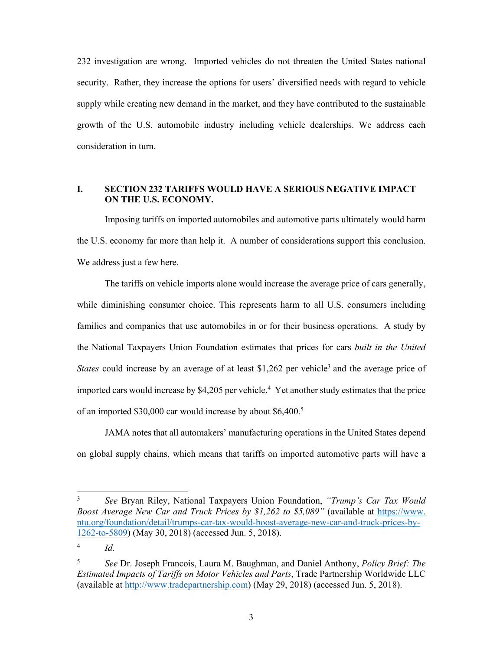232 investigation are wrong. Imported vehicles do not threaten the United States national security. Rather, they increase the options for users' diversified needs with regard to vehicle supply while creating new demand in the market, and they have contributed to the sustainable growth of the U.S. automobile industry including vehicle dealerships. We address each consideration in turn.

### **I. SECTION 232 TARIFFS WOULD HAVE A SERIOUS NEGATIVE IMPACT ON THE U.S. ECONOMY.**

Imposing tariffs on imported automobiles and automotive parts ultimately would harm the U.S. economy far more than help it. A number of considerations support this conclusion. We address just a few here.

The tariffs on vehicle imports alone would increase the average price of cars generally, while diminishing consumer choice. This represents harm to all U.S. consumers including families and companies that use automobiles in or for their business operations. A study by the National Taxpayers Union Foundation estimates that prices for cars *built in the United States* could increase by an average of at least \$1,262 per vehicle<sup>3</sup> and the average price of imported cars would increase by  $$4,205$  per vehicle.<sup>4</sup> Yet another study estimates that the price of an imported \$30,000 car would increase by about \$6,400.<sup>5</sup>

JAMA notes that all automakers' manufacturing operations in the United States depend on global supply chains, which means that tariffs on imported automotive parts will have a

3 *See* Bryan Riley, National Taxpayers Union Foundation, *"Trump's Car Tax Would Boost Average New Car and Truck Prices by \$1,262 to \$5,089"* (available at https://www. ntu.org/foundation/detail/trumps-car-tax-would-boost-average-new-car-and-truck-prices-by-1262-to-5809) (May 30, 2018) (accessed Jun. 5, 2018).

<sup>4</sup> *Id.*

<sup>5</sup> *See* Dr. Joseph Francois, Laura M. Baughman, and Daniel Anthony, *Policy Brief: The Estimated Impacts of Tariffs on Motor Vehicles and Parts*, Trade Partnership Worldwide LLC (available at http://www.tradepartnership.com) (May 29, 2018) (accessed Jun. 5, 2018).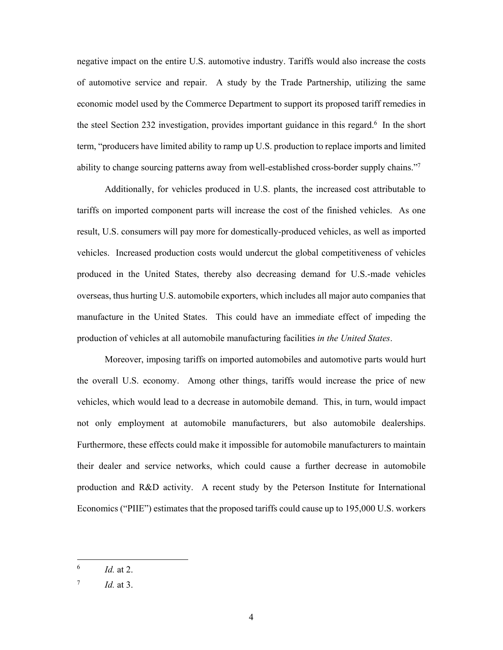negative impact on the entire U.S. automotive industry. Tariffs would also increase the costs of automotive service and repair. A study by the Trade Partnership, utilizing the same economic model used by the Commerce Department to support its proposed tariff remedies in the steel Section 232 investigation, provides important guidance in this regard.<sup>6</sup> In the short term, "producers have limited ability to ramp up U.S. production to replace imports and limited ability to change sourcing patterns away from well-established cross-border supply chains."<sup>7</sup>

Additionally, for vehicles produced in U.S. plants, the increased cost attributable to tariffs on imported component parts will increase the cost of the finished vehicles. As one result, U.S. consumers will pay more for domestically-produced vehicles, as well as imported vehicles. Increased production costs would undercut the global competitiveness of vehicles produced in the United States, thereby also decreasing demand for U.S.-made vehicles overseas, thus hurting U.S. automobile exporters, which includes all major auto companies that manufacture in the United States. This could have an immediate effect of impeding the production of vehicles at all automobile manufacturing facilities *in the United States*.

Moreover, imposing tariffs on imported automobiles and automotive parts would hurt the overall U.S. economy. Among other things, tariffs would increase the price of new vehicles, which would lead to a decrease in automobile demand. This, in turn, would impact not only employment at automobile manufacturers, but also automobile dealerships. Furthermore, these effects could make it impossible for automobile manufacturers to maintain their dealer and service networks, which could cause a further decrease in automobile production and R&D activity. A recent study by the Peterson Institute for International Economics ("PIIE") estimates that the proposed tariffs could cause up to 195,000 U.S. workers

<sup>6</sup> *Id.* at 2.

 $^7$  *Id.* at 3.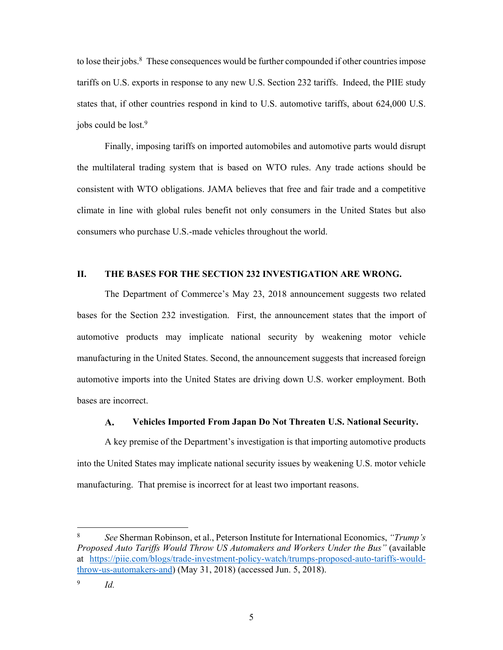to lose their jobs.<sup>8</sup> These consequences would be further compounded if other countries impose tariffs on U.S. exports in response to any new U.S. Section 232 tariffs. Indeed, the PIIE study states that, if other countries respond in kind to U.S. automotive tariffs, about 624,000 U.S. jobs could be lost.<sup>9</sup>

Finally, imposing tariffs on imported automobiles and automotive parts would disrupt the multilateral trading system that is based on WTO rules. Any trade actions should be consistent with WTO obligations. JAMA believes that free and fair trade and a competitive climate in line with global rules benefit not only consumers in the United States but also consumers who purchase U.S.-made vehicles throughout the world.

#### **II. THE BASES FOR THE SECTION 232 INVESTIGATION ARE WRONG.**

The Department of Commerce's May 23, 2018 announcement suggests two related bases for the Section 232 investigation. First, the announcement states that the import of automotive products may implicate national security by weakening motor vehicle manufacturing in the United States. Second, the announcement suggests that increased foreign automotive imports into the United States are driving down U.S. worker employment. Both bases are incorrect.

#### $\mathbf{A}$ . **Vehicles Imported From Japan Do Not Threaten U.S. National Security.**

A key premise of the Department's investigation is that importing automotive products into the United States may implicate national security issues by weakening U.S. motor vehicle manufacturing. That premise is incorrect for at least two important reasons.

l

<sup>8</sup> *See* Sherman Robinson, et al., Peterson Institute for International Economics, *"Trump's Proposed Auto Tariffs Would Throw US Automakers and Workers Under the Bus"* (available at https://piie.com/blogs/trade-investment-policy-watch/trumps-proposed-auto-tariffs-wouldthrow-us-automakers-and) (May 31, 2018) (accessed Jun. 5, 2018).

<sup>9</sup> *Id.*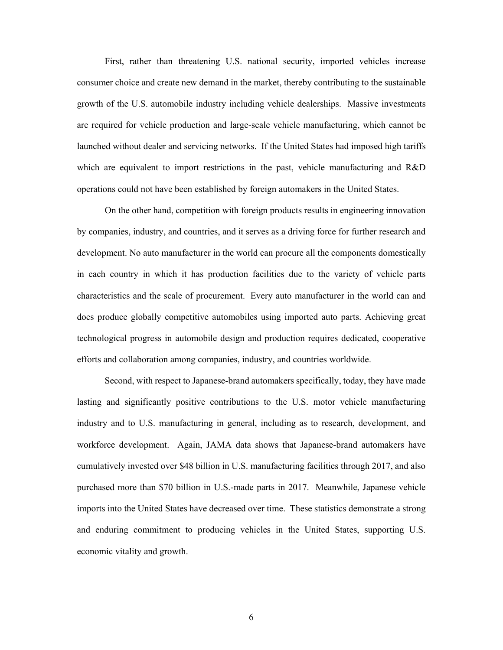First, rather than threatening U.S. national security, imported vehicles increase consumer choice and create new demand in the market, thereby contributing to the sustainable growth of the U.S. automobile industry including vehicle dealerships. Massive investments are required for vehicle production and large-scale vehicle manufacturing, which cannot be launched without dealer and servicing networks. If the United States had imposed high tariffs which are equivalent to import restrictions in the past, vehicle manufacturing and R&D operations could not have been established by foreign automakers in the United States.

On the other hand, competition with foreign products results in engineering innovation by companies, industry, and countries, and it serves as a driving force for further research and development. No auto manufacturer in the world can procure all the components domestically in each country in which it has production facilities due to the variety of vehicle parts characteristics and the scale of procurement. Every auto manufacturer in the world can and does produce globally competitive automobiles using imported auto parts. Achieving great technological progress in automobile design and production requires dedicated, cooperative efforts and collaboration among companies, industry, and countries worldwide.

Second, with respect to Japanese-brand automakers specifically, today, they have made lasting and significantly positive contributions to the U.S. motor vehicle manufacturing industry and to U.S. manufacturing in general, including as to research, development, and workforce development. Again, JAMA data shows that Japanese-brand automakers have cumulatively invested over \$48 billion in U.S. manufacturing facilities through 2017, and also purchased more than \$70 billion in U.S.-made parts in 2017. Meanwhile, Japanese vehicle imports into the United States have decreased over time. These statistics demonstrate a strong and enduring commitment to producing vehicles in the United States, supporting U.S. economic vitality and growth.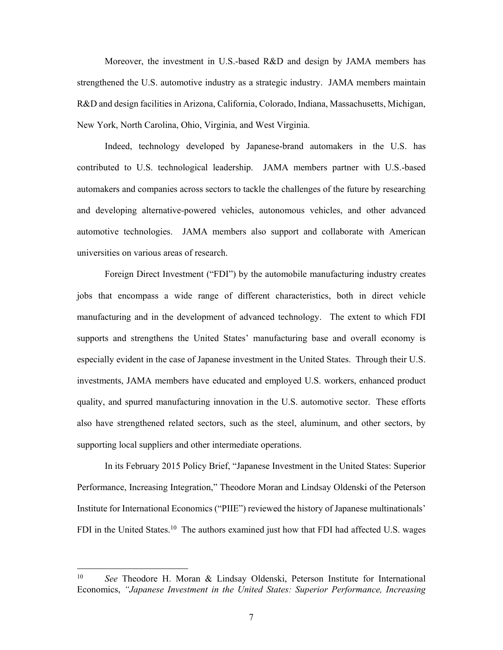Moreover, the investment in U.S.-based R&D and design by JAMA members has strengthened the U.S. automotive industry as a strategic industry. JAMA members maintain R&D and design facilities in Arizona, California, Colorado, Indiana, Massachusetts, Michigan, New York, North Carolina, Ohio, Virginia, and West Virginia.

Indeed, technology developed by Japanese-brand automakers in the U.S. has contributed to U.S. technological leadership. JAMA members partner with U.S.-based automakers and companies across sectors to tackle the challenges of the future by researching and developing alternative-powered vehicles, autonomous vehicles, and other advanced automotive technologies. JAMA members also support and collaborate with American universities on various areas of research.

Foreign Direct Investment ("FDI") by the automobile manufacturing industry creates jobs that encompass a wide range of different characteristics, both in direct vehicle manufacturing and in the development of advanced technology. The extent to which FDI supports and strengthens the United States' manufacturing base and overall economy is especially evident in the case of Japanese investment in the United States. Through their U.S. investments, JAMA members have educated and employed U.S. workers, enhanced product quality, and spurred manufacturing innovation in the U.S. automotive sector. These efforts also have strengthened related sectors, such as the steel, aluminum, and other sectors, by supporting local suppliers and other intermediate operations.

In its February 2015 Policy Brief, "Japanese Investment in the United States: Superior Performance, Increasing Integration," Theodore Moran and Lindsay Oldenski of the Peterson Institute for International Economics ("PIIE") reviewed the history of Japanese multinationals' FDI in the United States.<sup>10</sup> The authors examined just how that FDI had affected U.S. wages

<sup>10</sup> *See* Theodore H. Moran & Lindsay Oldenski, Peterson Institute for International Economics, *"Japanese Investment in the United States: Superior Performance, Increasing*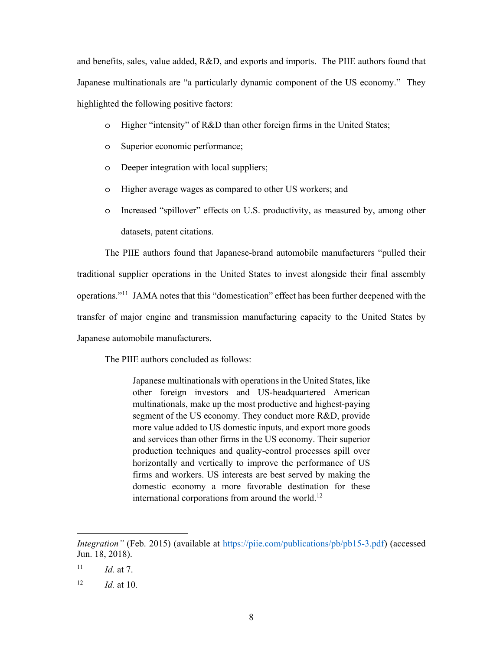and benefits, sales, value added, R&D, and exports and imports. The PIIE authors found that Japanese multinationals are "a particularly dynamic component of the US economy." They highlighted the following positive factors:

- o Higher "intensity" of R&D than other foreign firms in the United States;
- o Superior economic performance;
- o Deeper integration with local suppliers;
- o Higher average wages as compared to other US workers; and
- o Increased "spillover" effects on U.S. productivity, as measured by, among other datasets, patent citations.

The PIIE authors found that Japanese-brand automobile manufacturers "pulled their traditional supplier operations in the United States to invest alongside their final assembly operations."11 JAMA notes that this "domestication" effect has been further deepened with the transfer of major engine and transmission manufacturing capacity to the United States by Japanese automobile manufacturers.

The PIIE authors concluded as follows:

Japanese multinationals with operations in the United States, like other foreign investors and US-headquartered American multinationals, make up the most productive and highest-paying segment of the US economy. They conduct more R&D, provide more value added to US domestic inputs, and export more goods and services than other firms in the US economy. Their superior production techniques and quality-control processes spill over horizontally and vertically to improve the performance of US firms and workers. US interests are best served by making the domestic economy a more favorable destination for these international corporations from around the world.<sup>12</sup>

*Integration"* (Feb. 2015) (available at https://piie.com/publications/pb/pb15-3.pdf) (accessed Jun. 18, 2018).

 $11$  *Id.* at 7.

 $12$  *Id.* at 10.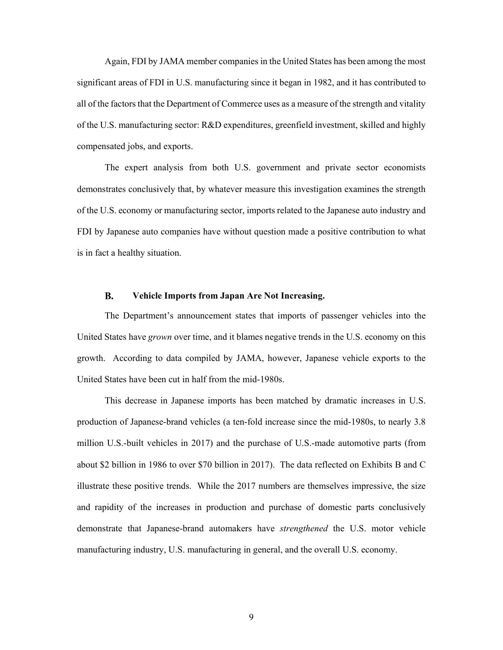Again, FDI by JAMA member companies in the United States has been among the most significant areas of FDI in U.S. manufacturing since it began in 1982, and it has contributed to all of the factors that the Department of Commerce uses as a measure of the strength and vitality of the U.S. manufacturing sector: R&D expenditures, greenfield investment, skilled and highly compensated jobs, and exports.

The expert analysis from both U.S. government and private sector economists demonstrates conclusively that, by whatever measure this investigation examines the strength of the U.S. economy or manufacturing sector, imports related to the Japanese auto industry and FDI by Japanese auto companies have without question made a positive contribution to what is in fact a healthy situation.

#### $\mathbf{R}$ . **Vehicle Imports from Japan Are Not Increasing.**

The Department's announcement states that imports of passenger vehicles into the United States have *grown* over time, and it blames negative trends in the U.S. economy on this growth. According to data compiled by JAMA, however, Japanese vehicle exports to the United States have been cut in half from the mid-1980s.

This decrease in Japanese imports has been matched by dramatic increases in U.S. production of Japanese-brand vehicles (a ten-fold increase since the mid-1980s, to nearly 3.8 million U.S.-built vehicles in 2017) and the purchase of U.S.-made automotive parts (from about \$2 billion in 1986 to over \$70 billion in 2017). The data reflected on Exhibits B and C illustrate these positive trends. While the 2017 numbers are themselves impressive, the size and rapidity of the increases in production and purchase of domestic parts conclusively demonstrate that Japanese-brand automakers have *strengthened* the U.S. motor vehicle manufacturing industry, U.S. manufacturing in general, and the overall U.S. economy.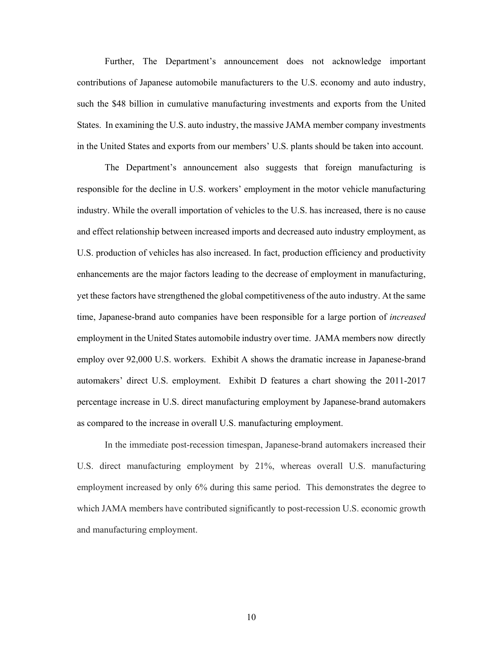Further, The Department's announcement does not acknowledge important contributions of Japanese automobile manufacturers to the U.S. economy and auto industry, such the \$48 billion in cumulative manufacturing investments and exports from the United States. In examining the U.S. auto industry, the massive JAMA member company investments in the United States and exports from our members' U.S. plants should be taken into account.

The Department's announcement also suggests that foreign manufacturing is responsible for the decline in U.S. workers' employment in the motor vehicle manufacturing industry. While the overall importation of vehicles to the U.S. has increased, there is no cause and effect relationship between increased imports and decreased auto industry employment, as U.S. production of vehicles has also increased. In fact, production efficiency and productivity enhancements are the major factors leading to the decrease of employment in manufacturing, yet these factors have strengthened the global competitiveness of the auto industry. At the same time, Japanese-brand auto companies have been responsible for a large portion of *increased*  employment in the United States automobile industry over time. JAMA members now directly employ over 92,000 U.S. workers. Exhibit A shows the dramatic increase in Japanese-brand automakers' direct U.S. employment. Exhibit D features a chart showing the 2011-2017 percentage increase in U.S. direct manufacturing employment by Japanese-brand automakers as compared to the increase in overall U.S. manufacturing employment.

In the immediate post-recession timespan, Japanese-brand automakers increased their U.S. direct manufacturing employment by 21%, whereas overall U.S. manufacturing employment increased by only 6% during this same period. This demonstrates the degree to which JAMA members have contributed significantly to post-recession U.S. economic growth and manufacturing employment.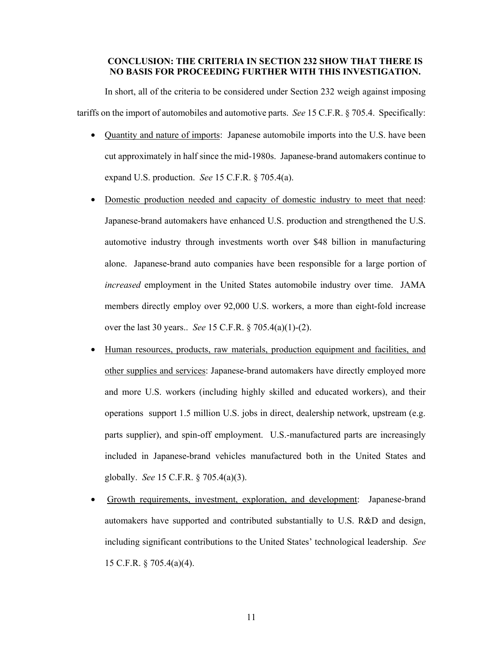### **CONCLUSION: THE CRITERIA IN SECTION 232 SHOW THAT THERE IS NO BASIS FOR PROCEEDING FURTHER WITH THIS INVESTIGATION.**

In short, all of the criteria to be considered under Section 232 weigh against imposing tariffs on the import of automobiles and automotive parts. *See* 15 C.F.R. § 705.4. Specifically:

- Quantity and nature of imports: Japanese automobile imports into the U.S. have been cut approximately in half since the mid-1980s. Japanese-brand automakers continue to expand U.S. production. *See* 15 C.F.R. § 705.4(a).
- Domestic production needed and capacity of domestic industry to meet that need: Japanese-brand automakers have enhanced U.S. production and strengthened the U.S. automotive industry through investments worth over \$48 billion in manufacturing alone. Japanese-brand auto companies have been responsible for a large portion of *increased* employment in the United States automobile industry over time. JAMA members directly employ over 92,000 U.S. workers, a more than eight-fold increase over the last 30 years.. *See* 15 C.F.R. § 705.4(a)(1)-(2).
- Human resources, products, raw materials, production equipment and facilities, and other supplies and services: Japanese-brand automakers have directly employed more and more U.S. workers (including highly skilled and educated workers), and their operations support 1.5 million U.S. jobs in direct, dealership network, upstream (e.g. parts supplier), and spin-off employment. U.S.-manufactured parts are increasingly included in Japanese-brand vehicles manufactured both in the United States and globally. *See* 15 C.F.R. § 705.4(a)(3).
- Growth requirements, investment, exploration, and development: Japanese-brand automakers have supported and contributed substantially to U.S. R&D and design, including significant contributions to the United States' technological leadership. *See*  15 C.F.R. § 705.4(a)(4).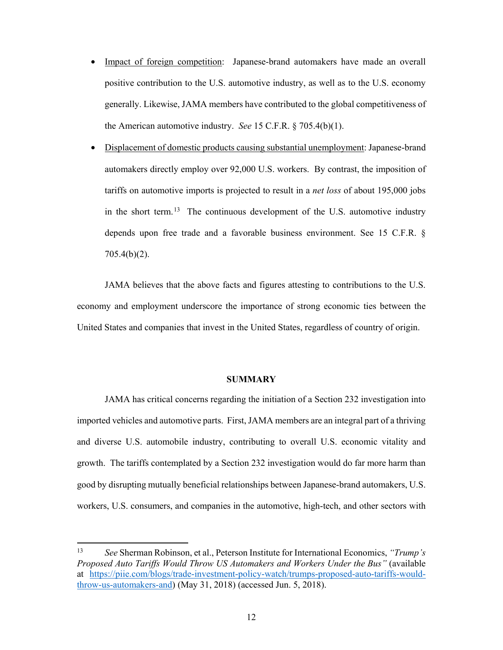- Impact of foreign competition: Japanese-brand automakers have made an overall positive contribution to the U.S. automotive industry, as well as to the U.S. economy generally. Likewise, JAMA members have contributed to the global competitiveness of the American automotive industry. *See* 15 C.F.R. § 705.4(b)(1).
- Displacement of domestic products causing substantial unemployment: Japanese-brand automakers directly employ over 92,000 U.S. workers. By contrast, the imposition of tariffs on automotive imports is projected to result in a *net loss* of about 195,000 jobs in the short term.<sup>13</sup> The continuous development of the U.S. automotive industry depends upon free trade and a favorable business environment. See 15 C.F.R. § 705.4(b)(2).

JAMA believes that the above facts and figures attesting to contributions to the U.S. economy and employment underscore the importance of strong economic ties between the United States and companies that invest in the United States, regardless of country of origin.

#### **SUMMARY**

JAMA has critical concerns regarding the initiation of a Section 232 investigation into imported vehicles and automotive parts. First, JAMA members are an integral part of a thriving and diverse U.S. automobile industry, contributing to overall U.S. economic vitality and growth. The tariffs contemplated by a Section 232 investigation would do far more harm than good by disrupting mutually beneficial relationships between Japanese-brand automakers, U.S. workers, U.S. consumers, and companies in the automotive, high-tech, and other sectors with

<sup>13</sup> 13 *See* Sherman Robinson, et al., Peterson Institute for International Economics, *"Trump's Proposed Auto Tariffs Would Throw US Automakers and Workers Under the Bus"* (available at https://piie.com/blogs/trade-investment-policy-watch/trumps-proposed-auto-tariffs-wouldthrow-us-automakers-and) (May 31, 2018) (accessed Jun. 5, 2018).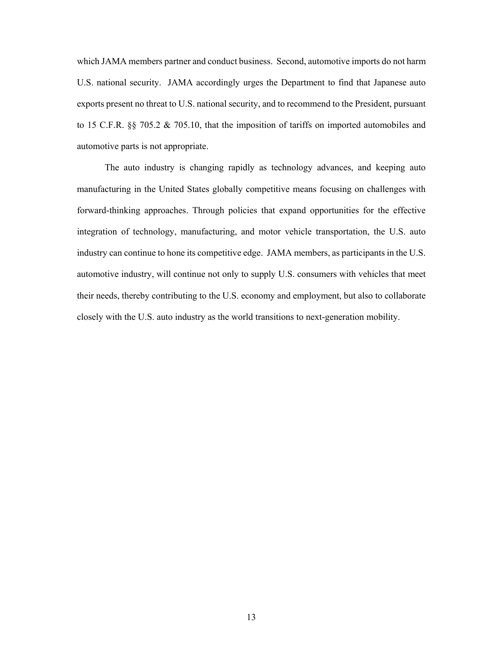which JAMA members partner and conduct business. Second, automotive imports do not harm U.S. national security. JAMA accordingly urges the Department to find that Japanese auto exports present no threat to U.S. national security, and to recommend to the President, pursuant to 15 C.F.R. §§ 705.2 & 705.10, that the imposition of tariffs on imported automobiles and automotive parts is not appropriate.

The auto industry is changing rapidly as technology advances, and keeping auto manufacturing in the United States globally competitive means focusing on challenges with forward-thinking approaches. Through policies that expand opportunities for the effective integration of technology, manufacturing, and motor vehicle transportation, the U.S. auto industry can continue to hone its competitive edge. JAMA members, as participants in the U.S. automotive industry, will continue not only to supply U.S. consumers with vehicles that meet their needs, thereby contributing to the U.S. economy and employment, but also to collaborate closely with the U.S. auto industry as the world transitions to next-generation mobility.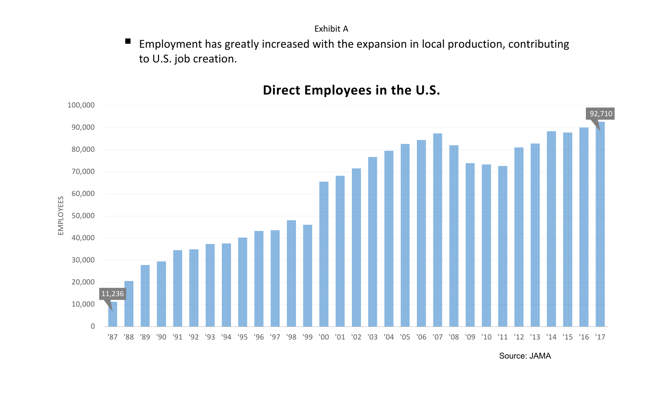Exhibit A

 Employment has greatly increased with the expansion in local production, contributing to U.S. job creation.

## **Direct Employees in the U.S.**



Source: JAMA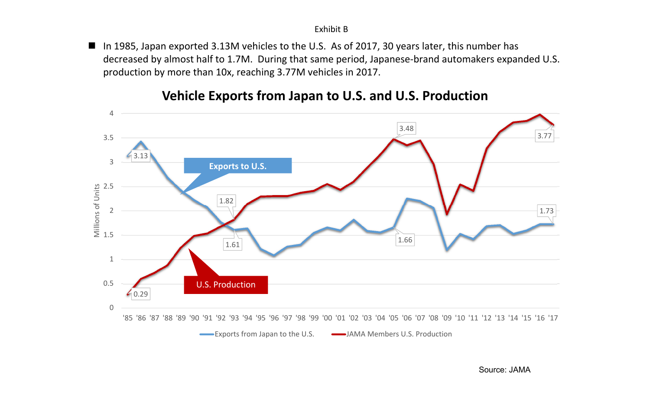■ In 1985, Japan exported 3.13M vehicles to the U.S. As of 2017, 30 years later, this number has decreased by almost half to 1.7M. During that same period, Japanese-brand automakers expanded U.S. production by more than 10x, reaching 3.77M vehicles in 2017.



### **Vehicle Exports from Japan to U.S. and U.S. Production**

Source: JAMA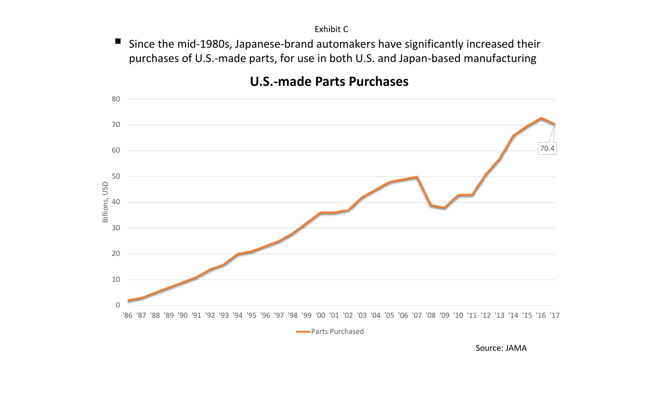$\blacksquare$  Since the mid-1980s, Japanese-brand automakers have significantly increased their purchases of U.S.-made parts, for use in both U.S. and Japan-based manufacturing



## **U.S.-made Parts Purchases**

Source: JAMA